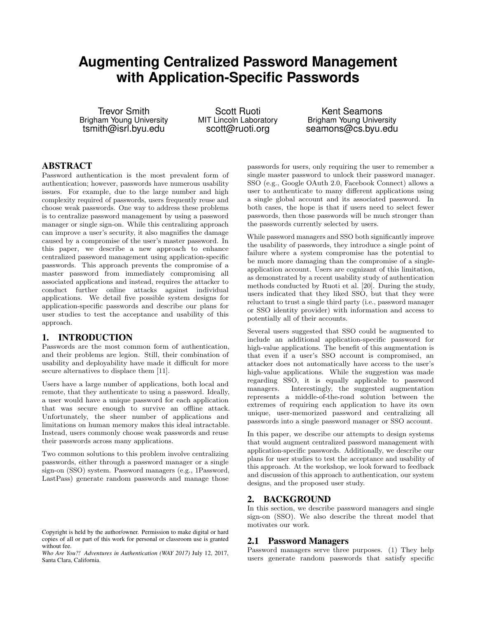# **Augmenting Centralized Password Management with Application-Specific Passwords**

Trevor Smith Brigham Young University tsmith@isrl.byu.edu

Scott Ruoti MIT Lincoln Laboratory scott@ruoti.org

Kent Seamons Brigham Young University seamons@cs.byu.edu

## ABSTRACT

Password authentication is the most prevalent form of authentication; however, passwords have numerous usability issues. For example, due to the large number and high complexity required of passwords, users frequently reuse and choose weak passwords. One way to address these problems is to centralize password management by using a password manager or single sign-on. While this centralizing approach can improve a user's security, it also magnifies the damage caused by a compromise of the user's master password. In this paper, we describe a new approach to enhance centralized password management using application-specific passwords. This approach prevents the compromise of a master password from immediately compromising all associated applications and instead, requires the attacker to conduct further online attacks against individual applications. We detail five possible system designs for application-specific passwords and describe our plans for user studies to test the acceptance and usability of this approach.

#### 1. INTRODUCTION

Passwords are the most common form of authentication, and their problems are legion. Still, their combination of usability and deployability have made it difficult for more secure alternatives to displace them [11].

Users have a large number of applications, both local and remote, that they authenticate to using a password. Ideally, a user would have a unique password for each application that was secure enough to survive an offline attack. Unfortunately, the sheer number of applications and limitations on human memory makes this ideal intractable. Instead, users commonly choose weak passwords and reuse their passwords across many applications.

Two common solutions to this problem involve centralizing passwords, either through a password manager or a single sign-on (SSO) system. Password managers (e.g., 1Password, LastPass) generate random passwords and manage those

passwords for users, only requiring the user to remember a single master password to unlock their password manager. SSO (e.g., Google OAuth 2.0, Facebook Connect) allows a user to authenticate to many different applications using a single global account and its associated password. In both cases, the hope is that if users need to select fewer passwords, then those passwords will be much stronger than the passwords currently selected by users.

While password managers and SSO both significantly improve the usability of passwords, they introduce a single point of failure where a system compromise has the potential to be much more damaging than the compromise of a singleapplication account. Users are cognizant of this limitation, as demonstrated by a recent usability study of authentication methods conducted by Ruoti et al. [20]. During the study, users indicated that they liked SSO, but that they were reluctant to trust a single third party (i.e., password manager or SSO identity provider) with information and access to potentially all of their accounts.

Several users suggested that SSO could be augmented to include an additional application-specific password for high-value applications. The benefit of this augmentation is that even if a user's SSO account is compromised, an attacker does not automatically have access to the user's high-value applications. While the suggestion was made regarding SSO, it is equally applicable to password managers. Interestingly, the suggested augmentation represents a middle-of-the-road solution between the extremes of requiring each application to have its own unique, user-memorized password and centralizing all passwords into a single password manager or SSO account.

In this paper, we describe our attempts to design systems that would augment centralized password management with application-specific passwords. Additionally, we describe our plans for user studies to test the acceptance and usability of this approach. At the workshop, we look forward to feedback and discussion of this approach to authentication, our system designs, and the proposed user study.

## 2. BACKGROUND

In this section, we describe password managers and single sign-on (SSO). We also describe the threat model that motivates our work.

#### 2.1 Password Managers

Password managers serve three purposes. (1) They help users generate random passwords that satisfy specific

Copyright is held by the author/owner. Permission to make digital or hard copies of all or part of this work for personal or classroom use is granted without fee.

*Who Are You?! Adventures in Authentication (WAY 2017)* July 12, 2017, Santa Clara, California.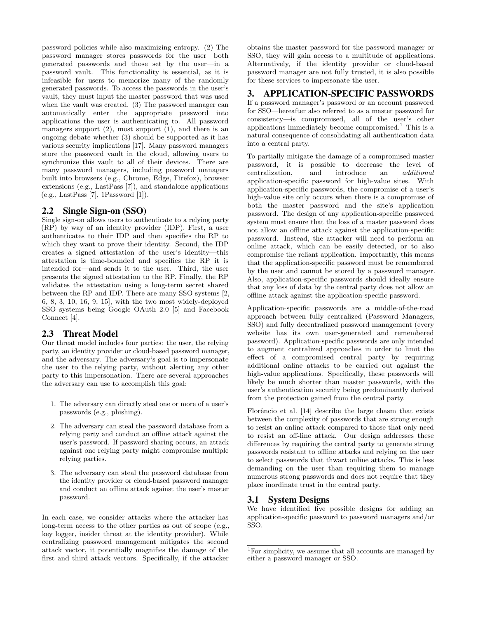password policies while also maximizing entropy. (2) The password manager stores passwords for the user—both generated passwords and those set by the user—in a password vault. This functionality is essential, as it is infeasible for users to memorize many of the randomly generated passwords. To access the passwords in the user's vault, they must input the master password that was used when the vault was created. (3) The password manager can automatically enter the appropriate password into applications the user is authenticating to. All password managers support  $(2)$ , most support  $(1)$ , and there is an ongoing debate whether (3) should be supported as it has various security implications [17]. Many password managers store the password vault in the cloud, allowing users to synchronize this vault to all of their devices. There are many password managers, including password managers built into browsers (e.g., Chrome, Edge, Firefox), browser extensions (e.g., LastPass [7]), and standalone applications (e.g., LastPass [7], 1Password [1]).

## 2.2 Single Sign-on (SSO)

Single sign-on allows users to authenticate to a relying party (RP) by way of an identity provider (IDP). First, a user authenticates to their IDP and then specifies the RP to which they want to prove their identity. Second, the IDP creates a signed attestation of the user's identity—this attestation is time-bounded and specifies the RP it is intended for—and sends it to the user. Third, the user presents the signed attestation to the RP. Finally, the RP validates the attestation using a long-term secret shared between the RP and IDP. There are many SSO systems [2, 6, 8, 3, 10, 16, 9, 15], with the two most widely-deployed SSO systems being Google OAuth 2.0 [5] and Facebook Connect [4].

# 2.3 Threat Model

Our threat model includes four parties: the user, the relying party, an identity provider or cloud-based password manager, and the adversary. The adversary's goal is to impersonate the user to the relying party, without alerting any other party to this impersonation. There are several approaches the adversary can use to accomplish this goal:

- 1. The adversary can directly steal one or more of a user's passwords (e.g., phishing).
- 2. The adversary can steal the password database from a relying party and conduct an offline attack against the user's password. If password sharing occurs, an attack against one relying party might compromise multiple relying parties.
- 3. The adversary can steal the password database from the identity provider or cloud-based password manager and conduct an offline attack against the user's master password.

In each case, we consider attacks where the attacker has long-term access to the other parties as out of scope (e.g., key logger, insider threat at the identity provider). While centralizing password management mitigates the second attack vector, it potentially magnifies the damage of the first and third attack vectors. Specifically, if the attacker

obtains the master password for the password manager or SSO, they will gain access to a multitude of applications. Alternatively, if the identity provider or cloud-based password manager are not fully trusted, it is also possible for these services to impersonate the user.

#### 3. APPLICATION-SPECIFIC PASSWORDS

If a password manager's password or an account password for SSO—hereafter also referred to as a master password for consistency—is compromised, all of the user's other applications immediately become compromised.<sup>1</sup> This is a natural consequence of consolidating all authentication data into a central party.

To partially mitigate the damage of a compromised master password, it is possible to decrease the level of centralization, and introduce an additional application-specific password for high-value sites. With application-specific passwords, the compromise of a user's high-value site only occurs when there is a compromise of both the master password and the site's application password. The design of any application-specific password system must ensure that the loss of a master password does not allow an offline attack against the application-specific password. Instead, the attacker will need to perform an online attack, which can be easily detected, or to also compromise the reliant application. Importantly, this means that the application-specific password must be remembered by the user and cannot be stored by a password manager. Also, application-specific passwords should ideally ensure that any loss of data by the central party does not allow an offline attack against the application-specific password.

Application-specific passwords are a middle-of-the-road approach between fully centralized (Password Managers, SSO) and fully decentralized password management (every website has its own user-generated and remembered password). Application-specific passwords are only intended to augment centralized approaches in order to limit the effect of a compromised central party by requiring additional online attacks to be carried out against the high-value applications. Specifically, these passwords will likely be much shorter than master passwords, with the user's authentication security being predominantly derived from the protection gained from the central party.

Florêncio et al. [14] describe the large chasm that exists between the complexity of passwords that are strong enough to resist an online attack compared to those that only need to resist an off-line attack. Our design addresses these differences by requiring the central party to generate strong passwords resistant to offline attacks and relying on the user to select passwords that thwart online attacks. This is less demanding on the user than requiring them to manage numerous strong passwords and does not require that they place inordinate trust in the central party.

## 3.1 System Designs

We have identified five possible designs for adding an application-specific password to password managers and/or SSO.

<sup>&</sup>lt;sup>1</sup>For simplicity, we assume that all accounts are managed by either a password manager or SSO.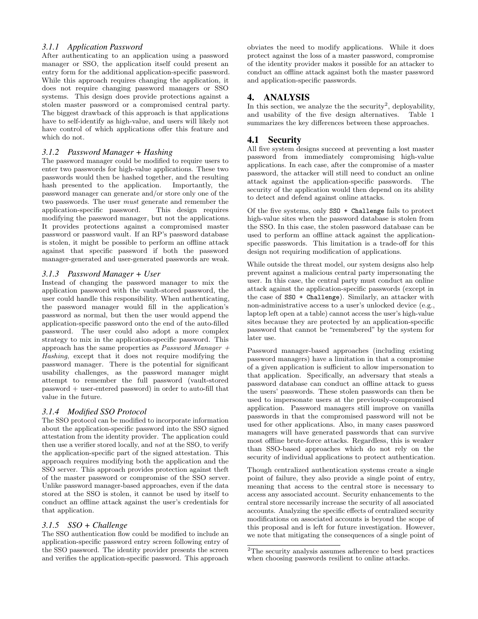#### *3.1.1 Application Password*

After authenticating to an application using a password manager or SSO, the application itself could present an entry form for the additional application-specific password. While this approach requires changing the application, it does not require changing password managers or SSO systems. This design does provide protections against a stolen master password or a compromised central party. The biggest drawback of this approach is that applications have to self-identify as high-value, and users will likely not have control of which applications offer this feature and which do not.

#### *3.1.2 Password Manager + Hashing*

The password manager could be modified to require users to enter two passwords for high-value applications. These two passwords would then be hashed together, and the resulting hash presented to the application. Importantly, the password manager can generate and/or store only one of the two passwords. The user must generate and remember the application-specific password. This design requires modifying the password manager, but not the applications. It provides protections against a compromised master password or password vault. If an RP's password database is stolen, it might be possible to perform an offline attack against that specific password if both the password manager-generated and user-generated passwords are weak.

#### *3.1.3 Password Manager + User*

Instead of changing the password manager to mix the application password with the vault-stored password, the user could handle this responsibility. When authenticating, the password manager would fill in the application's password as normal, but then the user would append the application-specific password onto the end of the auto-filled password. The user could also adopt a more complex strategy to mix in the application-specific password. This approach has the same properties as  $Password$  Manager  $+$ Hashing, except that it does not require modifying the password manager. There is the potential for significant usability challenges, as the password manager might attempt to remember the full password (vault-stored password + user-entered password) in order to auto-fill that value in the future.

#### *3.1.4 Modified SSO Protocol*

The SSO protocol can be modified to incorporate information about the application-specific password into the SSO signed attestation from the identity provider. The application could then use a verifier stored locally, and not at the SSO, to verify the application-specific part of the signed attestation. This approach requires modifying both the application and the SSO server. This approach provides protection against theft of the master password or compromise of the SSO server. Unlike password manager-based approaches, even if the data stored at the SSO is stolen, it cannot be used by itself to conduct an offline attack against the user's credentials for that application.

# *3.1.5 SSO + Challenge*

The SSO authentication flow could be modified to include an application-specific password entry screen following entry of the SSO password. The identity provider presents the screen and verifies the application-specific password. This approach obviates the need to modify applications. While it does protect against the loss of a master password, compromise of the identity provider makes it possible for an attacker to conduct an offline attack against both the master password and application-specific passwords.

# 4. ANALYSIS

In this section, we analyze the the security<sup>2</sup>, deployability, and usability of the five design alternatives. Table 1 summarizes the key differences between these approaches.

# 4.1 Security

All five system designs succeed at preventing a lost master password from immediately compromising high-value applications. In each case, after the compromise of a master password, the attacker will still need to conduct an online attack against the application-specific passwords. The security of the application would then depend on its ability to detect and defend against online attacks.

Of the five systems, only SSO + Challenge fails to protect high-value sites when the password database is stolen from the SSO. In this case, the stolen password database can be used to perform an offline attack against the applicationspecific passwords. This limitation is a trade-off for this design not requiring modification of applications.

While outside the threat model, our system designs also help prevent against a malicious central party impersonating the user. In this case, the central party must conduct an online attack against the application-specific passwords (except in the case of SSO + Challenge). Similarly, an attacker with non-administrative access to a user's unlocked device (e.g., laptop left open at a table) cannot access the user's high-value sites because they are protected by an application-specific password that cannot be "remembered" by the system for later use.

Password manager-based approaches (including existing password managers) have a limitation in that a compromise of a given application is sufficient to allow impersonation to that application. Specifically, an adversary that steals a password database can conduct an offline attack to guess the users' passwords. These stolen passwords can then be used to impersonate users at the previously-compromised application. Password managers still improve on vanilla passwords in that the compromised password will not be used for other applications. Also, in many cases password managers will have generated passwords that can survive most offline brute-force attacks. Regardless, this is weaker than SSO-based approaches which do not rely on the security of individual applications to protect authentication.

Though centralized authentication systems create a single point of failure, they also provide a single point of entry, meaning that access to the central store is necessary to access any associated account. Security enhancements to the central store necessarily increase the security of all associated accounts. Analyzing the specific effects of centralized security modifications on associated accounts is beyond the scope of this proposal and is left for future investigation. However, we note that mitigating the consequences of a single point of

<sup>&</sup>lt;sup>2</sup>The security analysis assumes adherence to best practices when choosing passwords resilient to online attacks.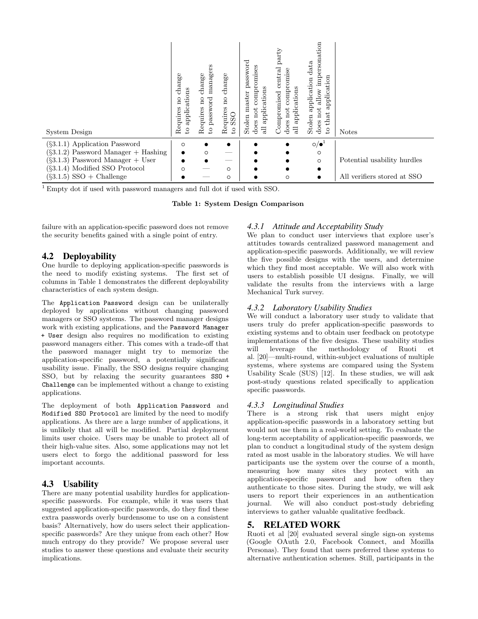| System Design                          | change<br>ns<br>applicatio<br>$\overline{a}$<br>Requires<br>2 | managers<br>change<br>password<br>$\overline{\mathrm{n}}$<br>Requires<br>$\overline{S}$ | $change$<br>$\overline{a}$<br>Requires<br>SSO<br>S, | word<br>සී<br>compromis<br>ass<br>≏<br>ations<br>master<br>applica<br>not<br>Stolen<br>does<br>$\exists$ | party<br>$\rm{central}$<br>compromise<br>applications<br>Compromised<br>not<br>does<br>$\exists$ | ersonation<br>data<br>β<br>application<br>application<br>$\frac{1}{\text{down}}$<br>tó<br>đ<br>₽<br>Stolen<br>£<br>does<br>S | <b>Notes</b>                |
|----------------------------------------|---------------------------------------------------------------|-----------------------------------------------------------------------------------------|-----------------------------------------------------|----------------------------------------------------------------------------------------------------------|--------------------------------------------------------------------------------------------------|------------------------------------------------------------------------------------------------------------------------------|-----------------------------|
| $(\S3.1.1)$ Application Password       | $\circ$                                                       |                                                                                         |                                                     |                                                                                                          |                                                                                                  | $\circ/\bullet^1$                                                                                                            |                             |
| $(\S3.1.2)$ Password Manager + Hashing | ٠                                                             | $\circ$                                                                                 |                                                     |                                                                                                          |                                                                                                  | $\circ$                                                                                                                      |                             |
| $(\S3.1.3)$ Password Manager + User    |                                                               |                                                                                         | --                                                  |                                                                                                          |                                                                                                  | $\circ$                                                                                                                      | Potential usability hurdles |
| $(\S3.1.4)$ Modified SSO Protocol      | $\circ$                                                       |                                                                                         | $\circ$                                             |                                                                                                          |                                                                                                  | ٠                                                                                                                            |                             |
| $(\S3.1.5)$ SSO + Challenge            |                                                               |                                                                                         | $\circ$                                             |                                                                                                          | O                                                                                                |                                                                                                                              | All verifiers stored at SSO |

<sup>1</sup> Empty dot if used with password managers and full dot if used with SSO.

Table 1: System Design Comparison

failure with an application-specific password does not remove the security benefits gained with a single point of entry.

## 4.2 Deployability

One hurdle to deploying application-specific passwords is the need to modify existing systems. The first set of columns in Table 1 demonstrates the different deployability characteristics of each system design.

The Application Password design can be unilaterally deployed by applications without changing password managers or SSO systems. The password manager designs work with existing applications, and the Password Manager + User design also requires no modification to existing password managers either. This comes with a trade-off that the password manager might try to memorize the application-specific password, a potentially significant usability issue. Finally, the SSO designs require changing SSO, but by relaxing the security guarantees SSO + Challenge can be implemented without a change to existing applications.

The deployment of both Application Password and Modified SSO Protocol are limited by the need to modify applications. As there are a large number of applications, it is unlikely that all will be modified. Partial deployment limits user choice. Users may be unable to protect all of their high-value sites. Also, some applications may not let users elect to forgo the additional password for less important accounts.

# 4.3 Usability

There are many potential usability hurdles for applicationspecific passwords. For example, while it was users that suggested application-specific passwords, do they find these extra passwords overly burdensome to use on a consistent basis? Alternatively, how do users select their applicationspecific passwords? Are they unique from each other? How much entropy do they provide? We propose several user studies to answer these questions and evaluate their security implications.

## *4.3.1 Attitude and Acceptability Study*

We plan to conduct user interviews that explore user's attitudes towards centralized password management and application-specific passwords. Additionally, we will review the five possible designs with the users, and determine which they find most acceptable. We will also work with users to establish possible UI designs. Finally, we will validate the results from the interviews with a large Mechanical Turk survey.

## *4.3.2 Laboratory Usability Studies*

We will conduct a laboratory user study to validate that users truly do prefer application-specific passwords to existing systems and to obtain user feedback on prototype implementations of the five designs. These usability studies will leverage the methodology of Ruoti et al. [20]—multi-round, within-subject evaluations of multiple systems, where systems are compared using the System Usability Scale (SUS) [12]. In these studies, we will ask post-study questions related specifically to application specific passwords.

# *4.3.3 Longitudinal Studies*

There is a strong risk that users might enjoy application-specific passwords in a laboratory setting but would not use them in a real-world setting. To evaluate the long-term acceptability of application-specific passwords, we plan to conduct a longitudinal study of the system design rated as most usable in the laboratory studies. We will have participants use the system over the course of a month, measuring how many sites they protect with an application-specific password and how often they authenticate to those sites. During the study, we will ask users to report their experiences in an authentication journal. We will also conduct post-study debriefing interviews to gather valuable qualitative feedback.

# 5. RELATED WORK

Ruoti et al [20] evaluated several single sign-on systems (Google OAuth 2.0, Facebook Connect, and Mozilla Personas). They found that users preferred these systems to alternative authentication schemes. Still, participants in the